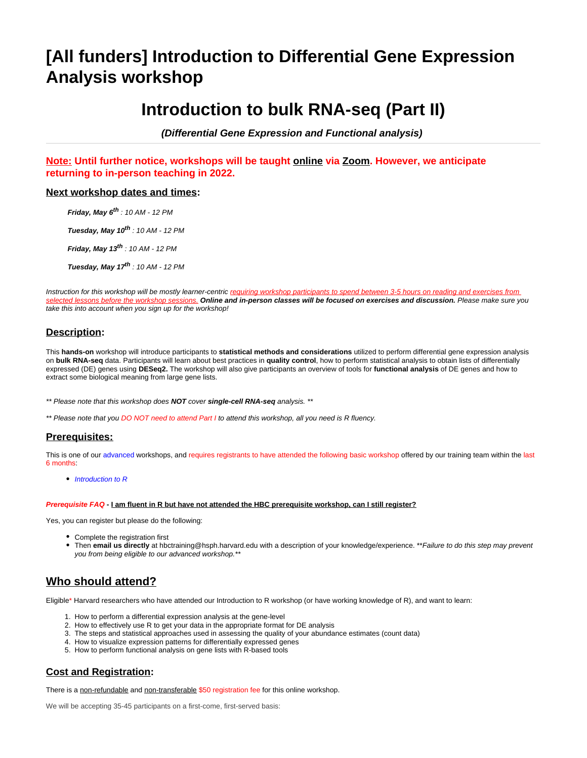# **[All funders] Introduction to Differential Gene Expression Analysis workshop**

# **Introduction to bulk RNA-seq (Part II)**

**(Differential Gene Expression and Functional analysis)** 

**Note: Until further notice, workshops will be taught online via Zoom. However, we anticipate returning to in-person teaching in 2022.**

#### **Next workshop dates and times:**

**Friday, May 6th** : 10 AM - 12 PM

**Tuesday, May 10th** : 10 AM - 12 PM

**Friday, May 13<sup>th</sup>** : 10 AM - 12 PM

**Tuesday, May 17th** : 10 AM - 12 PM

Instruction for this workshop will be mostly learner-centric requiring workshop participants to spend between 3-5 hours on reading and exercises from selected lessons before the workshop sessions. **Online and in-person classes will be focused on exercises and discussion.** Please make sure you take this into account when you sign up for the workshop!

## **Description:**

This **hands-on** workshop will introduce participants to **statistical methods and considerations** utilized to perform differential gene expression analysis on **bulk RNA-seq** data. Participants will learn about best practices in **quality control**, how to perform statistical analysis to obtain lists of differentially expressed (DE) genes using **DESeq2.** The workshop will also give participants an overview of tools for **functional analysis** of DE genes and how to extract some biological meaning from large gene lists.

\*\* Please note that this workshop does **NOT** cover **single-cell RNA-seq** analysis. \*\*

\*\* Please note that you DO NOT need to attend Part I to attend this workshop, all you need is R fluency.

## **Prerequisites:**

This is one of our [advanced](https://hbctraining.github.io/main/training_spring2019.html#advanced-topics-analysis-of-high-throughput-sequencing-ngs-data) workshops, and requires registrants to have attended the following basic workshop offered by our training team within the last 6 months:

• [Introduction to R](https://wiki.harvard.edu/confluence/pages/viewpage.action?pageId=214443667)

#### **Prerequisite FAQ - I am fluent in R but have not attended the HBC prerequisite workshop, can I still register?**

Yes, you can register but please do the following:

- Complete the registration first
- Then **email us directly** at [hbctraining@hsph.harvard.edu](mailto:hbctraining@hsph.harvard.edu) with a description of your knowledge/experience. \*\*Failure to do this step may prevent you from being eligible to our advanced workshop.

# **Who should attend?**

Eligible\* Harvard researchers who have attended our Introduction to R workshop (or have working knowledge of R), and want to learn:

- 1. How to perform a differential expression analysis at the gene-level
- 2. How to effectively use R to get your data in the appropriate format for DE analysis
- 3. The steps and statistical approaches used in assessing the quality of your abundance estimates (count data)
- 4. How to visualize expression patterns for differentially expressed genes
- 5. How to perform functional analysis on gene lists with R-based tools

## **Cost and Registration:**

There is a non-refundable and non-transferable \$50 registration fee for this online workshop.

We will be accepting 35-45 participants on a first-come, first-served basis: